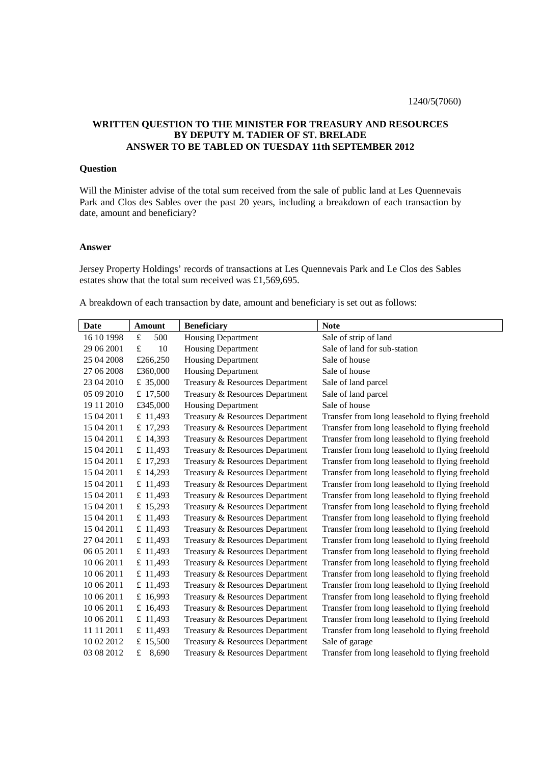## **WRITTEN QUESTION TO THE MINISTER FOR TREASURY AND RESOURCES BY DEPUTY M. TADIER OF ST. BRELADE ANSWER TO BE TABLED ON TUESDAY 11th SEPTEMBER 2012**

## **Question**

Will the Minister advise of the total sum received from the sale of public land at Les Quennevais Park and Clos des Sables over the past 20 years, including a breakdown of each transaction by date, amount and beneficiary?

## **Answer**

Jersey Property Holdings' records of transactions at Les Quennevais Park and Le Clos des Sables estates show that the total sum received was £1,569,695.

A breakdown of each transaction by date, amount and beneficiary is set out as follows:

| <b>Date</b> | <b>Amount</b>        | <b>Beneficiary</b>              | <b>Note</b>                                     |
|-------------|----------------------|---------------------------------|-------------------------------------------------|
| 16 10 1998  | 500<br>£             | <b>Housing Department</b>       | Sale of strip of land                           |
| 29 06 2001  | $\pounds$<br>10      | <b>Housing Department</b>       | Sale of land for sub-station                    |
| 25 04 2008  | £266,250             | <b>Housing Department</b>       | Sale of house                                   |
| 27 06 2008  | £360,000             | <b>Housing Department</b>       | Sale of house                                   |
| 23 04 2010  | £ 35,000             | Treasury & Resources Department | Sale of land parcel                             |
| 05 09 2010  | £ 17,500             | Treasury & Resources Department | Sale of land parcel                             |
| 19 11 2010  | £345,000             | <b>Housing Department</b>       | Sale of house                                   |
| 15 04 2011  | £ 11,493             | Treasury & Resources Department | Transfer from long leasehold to flying freehold |
| 15 04 2011  | £ 17,293             | Treasury & Resources Department | Transfer from long leasehold to flying freehold |
| 15 04 2011  | £ 14,393             | Treasury & Resources Department | Transfer from long leasehold to flying freehold |
| 15 04 2011  | £ 11,493             | Treasury & Resources Department | Transfer from long leasehold to flying freehold |
| 15 04 2011  | £ 17,293             | Treasury & Resources Department | Transfer from long leasehold to flying freehold |
| 15 04 2011  | £ 14,293             | Treasury & Resources Department | Transfer from long leasehold to flying freehold |
| 15 04 2011  | £ 11,493             | Treasury & Resources Department | Transfer from long leasehold to flying freehold |
| 15 04 2011  | £ 11,493             | Treasury & Resources Department | Transfer from long leasehold to flying freehold |
| 15 04 2011  | £ 15,293             | Treasury & Resources Department | Transfer from long leasehold to flying freehold |
| 15 04 2011  | £ 11,493             | Treasury & Resources Department | Transfer from long leasehold to flying freehold |
| 15 04 2011  | £ 11,493             | Treasury & Resources Department | Transfer from long leasehold to flying freehold |
| 27 04 2011  | £ 11,493             | Treasury & Resources Department | Transfer from long leasehold to flying freehold |
| 06 05 2011  | £ 11,493             | Treasury & Resources Department | Transfer from long leasehold to flying freehold |
| 10 06 2011  | £ 11,493             | Treasury & Resources Department | Transfer from long leasehold to flying freehold |
| 10 06 2011  | £ 11,493             | Treasury & Resources Department | Transfer from long leasehold to flying freehold |
| 10 06 2011  | £ 11,493             | Treasury & Resources Department | Transfer from long leasehold to flying freehold |
| 10 06 2011  | £ 16,993             | Treasury & Resources Department | Transfer from long leasehold to flying freehold |
| 10 06 2011  | £ 16,493             | Treasury & Resources Department | Transfer from long leasehold to flying freehold |
| 10 06 2011  | £ 11,493             | Treasury & Resources Department | Transfer from long leasehold to flying freehold |
| 11 11 2011  | £ 11,493             | Treasury & Resources Department | Transfer from long leasehold to flying freehold |
| 10 02 2012  | £ 15,500             | Treasury & Resources Department | Sale of garage                                  |
| 03 08 2012  | 8,690<br>$\mathbf f$ | Treasury & Resources Department | Transfer from long leasehold to flying freehold |